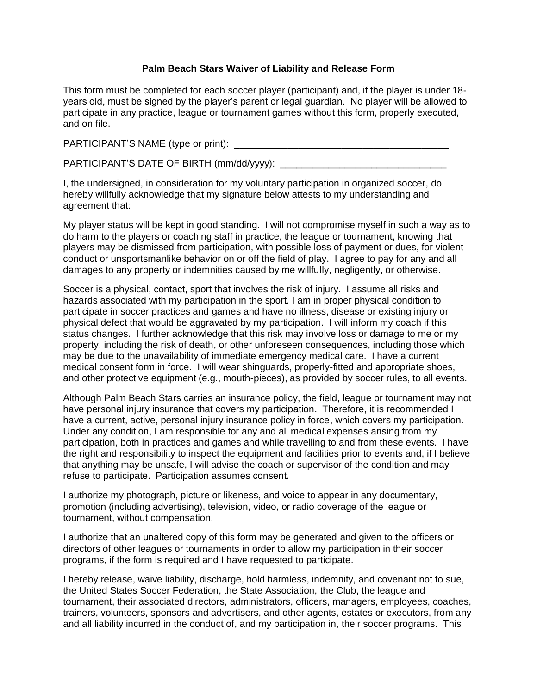## **Palm Beach Stars Waiver of Liability and Release Form**

This form must be completed for each soccer player (participant) and, if the player is under 18 years old, must be signed by the player's parent or legal guardian. No player will be allowed to participate in any practice, league or tournament games without this form, properly executed, and on file.

PARTICIPANT'S NAME (type or print): \_\_\_\_\_\_\_\_\_\_\_\_\_\_\_\_\_\_\_\_\_\_\_\_\_\_\_\_\_\_\_\_\_\_\_\_\_\_\_\_

PARTICIPANT'S DATE OF BIRTH (mm/dd/yyyy): \_\_\_\_

I, the undersigned, in consideration for my voluntary participation in organized soccer, do hereby willfully acknowledge that my signature below attests to my understanding and agreement that:

My player status will be kept in good standing. I will not compromise myself in such a way as to do harm to the players or coaching staff in practice, the league or tournament, knowing that players may be dismissed from participation, with possible loss of payment or dues, for violent conduct or unsportsmanlike behavior on or off the field of play. I agree to pay for any and all damages to any property or indemnities caused by me willfully, negligently, or otherwise.

Soccer is a physical, contact, sport that involves the risk of injury. I assume all risks and hazards associated with my participation in the sport. I am in proper physical condition to participate in soccer practices and games and have no illness, disease or existing injury or physical defect that would be aggravated by my participation. I will inform my coach if this status changes. I further acknowledge that this risk may involve loss or damage to me or my property, including the risk of death, or other unforeseen consequences, including those which may be due to the unavailability of immediate emergency medical care. I have a current medical consent form in force. I will wear shinguards, properly-fitted and appropriate shoes, and other protective equipment (e.g., mouth-pieces), as provided by soccer rules, to all events.

Although Palm Beach Stars carries an insurance policy, the field, league or tournament may not have personal injury insurance that covers my participation. Therefore, it is recommended I have a current, active, personal injury insurance policy in force, which covers my participation. Under any condition, I am responsible for any and all medical expenses arising from my participation, both in practices and games and while travelling to and from these events. I have the right and responsibility to inspect the equipment and facilities prior to events and, if I believe that anything may be unsafe, I will advise the coach or supervisor of the condition and may refuse to participate. Participation assumes consent.

I authorize my photograph, picture or likeness, and voice to appear in any documentary, promotion (including advertising), television, video, or radio coverage of the league or tournament, without compensation.

I authorize that an unaltered copy of this form may be generated and given to the officers or directors of other leagues or tournaments in order to allow my participation in their soccer programs, if the form is required and I have requested to participate.

I hereby release, waive liability, discharge, hold harmless, indemnify, and covenant not to sue, the United States Soccer Federation, the State Association, the Club, the league and tournament, their associated directors, administrators, officers, managers, employees, coaches, trainers, volunteers, sponsors and advertisers, and other agents, estates or executors, from any and all liability incurred in the conduct of, and my participation in, their soccer programs. This